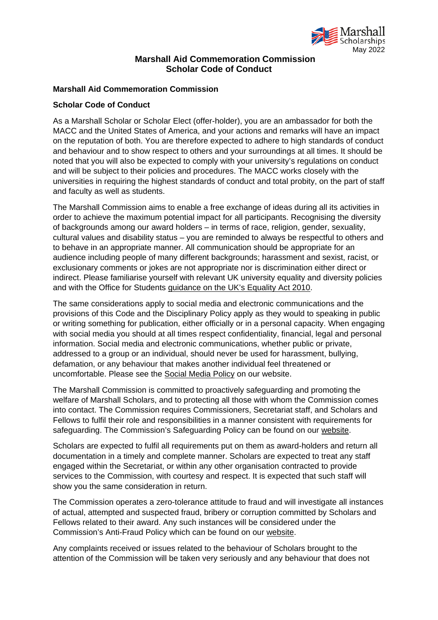

## **Marshall Aid Commemoration Commission Scholar Code of Conduct**

## **Marshall Aid Commemoration Commission**

## **Scholar Code of Conduct**

As a Marshall Scholar or Scholar Elect (offer-holder), you are an ambassador for both the MACC and the United States of America, and your actions and remarks will have an impact on the reputation of both. You are therefore expected to adhere to high standards of conduct and behaviour and to show respect to others and your surroundings at all times. It should be noted that you will also be expected to comply with your university's regulations on conduct and will be subject to their policies and procedures. The MACC works closely with the universities in requiring the highest standards of conduct and total probity, on the part of staff and faculty as well as students.

The Marshall Commission aims to enable a free exchange of ideas during all its activities in order to achieve the maximum potential impact for all participants. Recognising the diversity of backgrounds among our award holders – in terms of race, religion, gender, sexuality, cultural values and disability status – you are reminded to always be respectful to others and to behave in an appropriate manner. All communication should be appropriate for an audience including people of many different backgrounds; harassment and sexist, racist, or exclusionary comments or jokes are not appropriate nor is discrimination either direct or indirect. Please familiarise yourself with relevant UK university equality and diversity policies and with the Office for Students guidance on the UK's Equality Act 2010.

The same considerations apply to social media and electronic communications and the provisions of this Code and the Disciplinary Policy apply as they would to speaking in public or writing something for publication, either officially or in a personal capacity. When engaging with social media you should at all times respect confidentiality, financial, legal and personal information. Social media and electronic communications, whether public or private, addressed to a group or an individual, should never be used for harassment, bullying, defamation, or any behaviour that makes another individual feel threatened or uncomfortable. Please see the Social Media Policy on our website.

The Marshall Commission is committed to proactively safeguarding and promoting the welfare of Marshall Scholars, and to protecting all those with whom the Commission comes into contact. The Commission requires Commissioners, Secretariat staff, and Scholars and Fellows to fulfil their role and responsibilities in a manner consistent with requirements for safeguarding. The Commission's Safeguarding Policy can be found on our website.

Scholars are expected to fulfil all requirements put on them as award-holders and return all documentation in a timely and complete manner. Scholars are expected to treat any staff engaged within the Secretariat, or within any other organisation contracted to provide services to the Commission, with courtesy and respect. It is expected that such staff will show you the same consideration in return.

The Commission operates a zero-tolerance attitude to fraud and will investigate all instances of actual, attempted and suspected fraud, bribery or corruption committed by Scholars and Fellows related to their award. Any such instances will be considered under the Commission's Anti-Fraud Policy which can be found on our website.

Any complaints received or issues related to the behaviour of Scholars brought to the attention of the Commission will be taken very seriously and any behaviour that does not